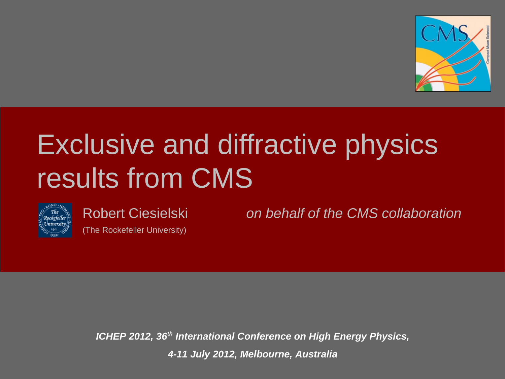

### Exclusive and diffractive physics results from CMS



(The Rockefeller University)

Robert Ciesielski *on behalf of the CMS collaboration* 

*ICHEP 2012, 36th International Conference on High Energy Physics, 4-11 July 2012, Melbourne, Australia*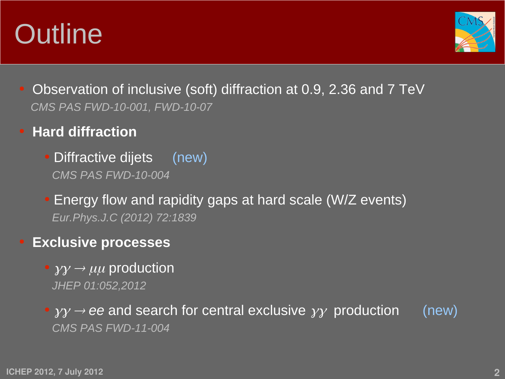### **Outline**



- Observation of inclusive (soft) diffraction at 0.9, 2.36 and 7 TeV *CMS PAS FWD-10-001, FWD-10-07*
- ● **Hard diffraction**
	- Diffractive dijets (new) *CMS PAS FWD-10-004*
	- Energy flow and rapidity gaps at hard scale (W/Z events) *Eur.Phys.J.C (2012) 72:1839*
- ● **Exclusive processes**
	- $\rightarrow y\gamma \rightarrow \mu\mu$  production *JHEP 01:052,2012*

 $\bullet$   $\gamma\gamma \rightarrow ee$  and search for central exclusive  $\gamma\gamma$  production (new) *CMS PAS FWD-11-004*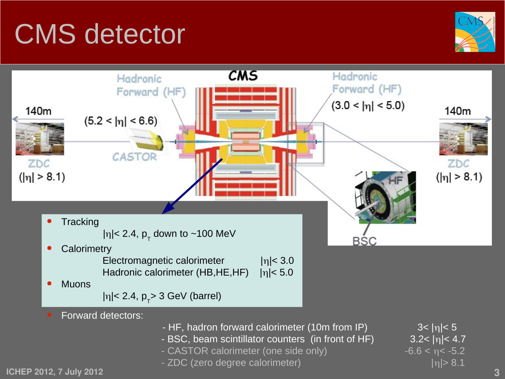### CMS detector





**ICHEP 2012, 7 July 2012 3**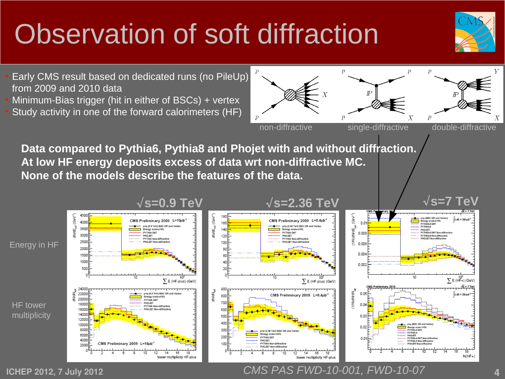### Observation of soft diffraction





**ICHEP 2012, 7 July 2012 4** *CMS PAS FWD-10-001, FWD-10-07*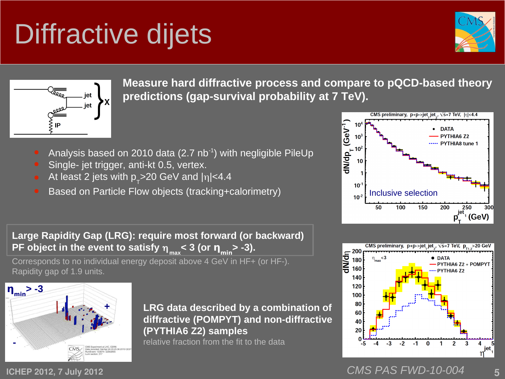**ηmin> -3**

**-**

**ICHEP 2012, 7 July 2012** 

IP

### Diffractive dijets

**Measure hard diffractive process and compare to pQCD-based theory predictions (gap-survival probability at 7 TeV).**

- Analysis based on 2010 data (2.7  $nb^{-1}$ ) with negligible PileUp
- Single- jet trigger, anti-kt 0.5, vertex.

**+**

- At least 2 jets with  $p_{T}$ >20 GeV and  $|\eta|$ <4.4
- Based on Particle Flow objects (tracking+calorimetry)

**Large Rapidity Gap (LRG): require most forward (or backward) PF object in the event to satisfy** η **max < 3 (or ηmin> -3).**

Corresponds to no individual energy deposit above 4 GeV in HF+ (or HF-). Rapidity gap of 1.9 units.

> **LRG data described by a combination of diffractive (POMPYT) and non-diffractive (PYTHIA6 Z2) samples**

relative fraction from the fit to the data



CMS preliminary,  $p+p$ ->jet jet,  $\sqrt{s}$ =7 TeV,  $|n|$ <4.4



*CMS PAS FWD-10-004*

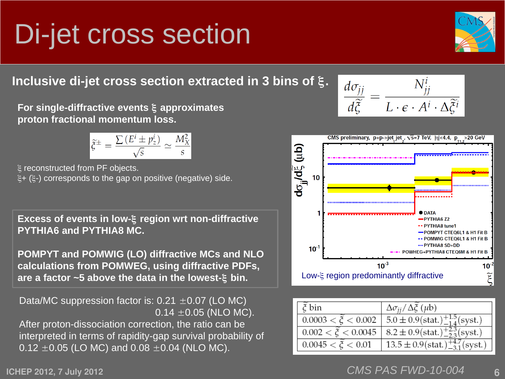### Di-jet cross section

**Inclusive di-jet cross section extracted in 3 bins of** ξ**.**

**For single-diffractive events** ξ **approximates proton fractional momentum loss.**

$$
\widetilde{\xi}^{\pm} = \frac{\sum (E' \pm p_z^i)}{\sqrt{s}} \simeq \frac{M_X^2}{s}
$$

ξ reconstructed from PF objects. ξ+ (ξ-) corresponds to the gap on positive (negative) side.

**Excess of events in low-**ξ **region wrt non-diffractive PYTHIA6 and PYTHIA8 MC.**

**POMPYT and POMWIG (LO) diffractive MCs and NLO calculations from POMWEG, using diffractive PDFs, are a factor ~5 above the data in the lowest-**ξ **bin.**

Data/MC suppression factor is:  $0.21 \pm 0.07$  (LO MC)  $0.14 \pm 0.05$  (NLO MC). After proton-dissociation correction, the ratio can be interpreted in terms of rapidity-gap survival probability of  $0.12 \pm 0.05$  (LO MC) and  $0.08 \pm 0.04$  (NLO MC).

 $10^{-3}$  $\Delta \sigma_{ii} / \Delta \tilde{\xi}$  (µb)  $5.0 \pm 0.9$  (stat.)<sup>+1.5</sup> (syst.)  $0.002 < \tilde{\xi} < 0.0045$  $8.2 \pm 0.9$  (stat.)<sup>+2.3</sup>/syst.)

*CMS PAS FWD-10-004*

 $13.5 \pm 0.9$  (stat.)<sup>+4.7</sup>/syst.





CMS preliminary, p+p->jet jet ,  $\sqrt{s}$ =7 TeV,  $|n|$ <4.4, p\_ >20 GeV

 $\mathsf{d}\sigma_{\mathsf{j}\mathsf{j}}\mathsf{d}\tilde{\xi}$  (را $\mathsf{d}\mathsf{b}$ 

10

 $0.0045 < \tilde{\zeta} < 0.01$ 

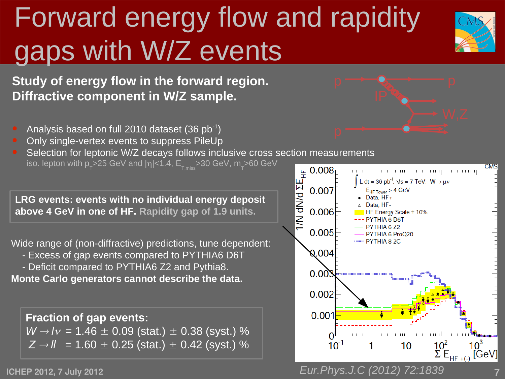# Forward energy flow and rapidity gaps with W/Z events



**Study of energy flow in the forward region. Diffractive component in W/Z sample.**

- Analysis based on full 2010 dataset  $(36 pb^{-1})$
- Only single-vertex events to suppress PileUp

Selection for leptonic W/Z decays follows inclusive cross section measurements<br>
iso. lepton with  $p_r$ >25 GeV and  $|n|$ <1.4,  $E_{T,miss}$ >30 GeV,  $m_r$ >60 GeV<br>
RG events: events with no individual energy deposit<br>
Nowe 4 GeV in iso. lepton with <code>p\_>25</code> GeV and <code>|</mark>η|<1.4,  $\mathsf{E}_{_{\rm T,miss}}$ >30 GeV, <code>m\_>60 GeV</code></code>

**LRG events: events with no individual energy deposit above 4 GeV in one of HF. Rapidity gap of 1.9 units.** 

Wide range of (non-diffractive) predictions, tune dependent:

- Excess of gap events compared to PYTHIA6 D6T

 - Deficit compared to PYTHIA6 Z2 and Pythia8. **Monte Carlo generators cannot describe the data.**

**Fraction of gap events:**  $W \rightarrow l v = 1.46 \pm 0.09$  (stat.)  $\pm$  0.38 (syst.) %  $Z \rightarrow \textit{l}$  = 1.60  $\pm$  0.25 (stat.)  $\pm$  0.42 (syst.) %

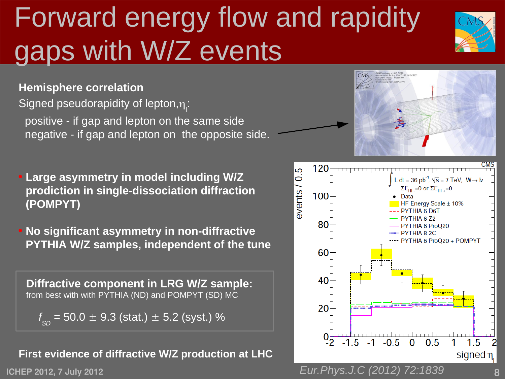# Forward energy flow and rapidity gaps with W/Z events



**Hemisphere correlation**

Signed pseudorapidity of lepton, $\eta_{\text{r}}$ :

 positive - if gap and lepton on the same side negative - if gap and lepton on the opposite side.

- **Large asymmetry in model including W/Z prodiction in single-dissociation diffraction (POMPYT)**
- **No significant asymmetry in non-diffractive PYTHIA W/Z samples, independent of the tune**

**Diffractive component in LRG W/Z sample:** from best with with PYTHIA (ND) and POMPYT (SD) MC

*f SD* = 50.0 ± 9.3 (stat.) ± 5.2 (syst.) %

#### **First evidence of diffractive W/Z production at LHC**

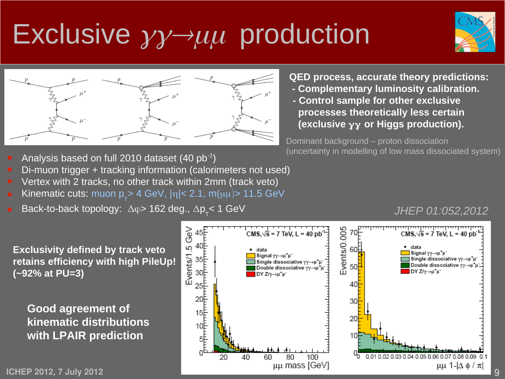## Exclusive  $\gamma \gamma \rightarrow \mu \mu$  production





- **QED process, accurate theory predictions: - Complementary luminosity calibration.**
- **Control sample for other exclusive processes theoretically less certain (exclusive** γγ **or Higgs production).**

Dominant background – proton dissociation (uncertainty in modelling of low mass dissociated system)

- Analysis based on full 2010 dataset (40  $pb^{-1}$ )
- Di-muon trigger + tracking information (calorimeters not used)
- Vertex with 2 tracks, no other track within 2mm (track veto)
- Kinematic cuts: muon  $p_{\tau}$ > 4 GeV,  $|\eta|$ < 2.1, m( $\mu\mu$ )> 11.5 GeV
- Back-to-back topology:  $\Delta \phi$  > 162 deg.,  $\Delta p_{\tau}$  < 1 GeV

### *JHEP 01:052,2012*

**Exclusivity defined by track veto retains efficiency with high PileUp! (~92% at PU=3)**

**Good agreement of kinematic distributions with LPAIR prediction**



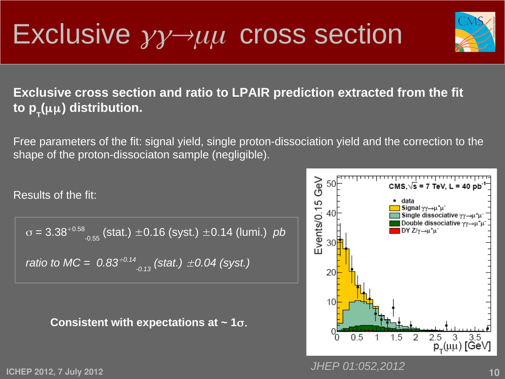### Exclusive  $\gamma \gamma \rightarrow \mu \mu$  cross section



### **Exclusive cross section and ratio to LPAIR prediction extracted from the fit to p<sub>τ</sub>(μμ) distribution.**

Free parameters of the fit: signal yield, single proton-dissociation yield and the correction to the shape of the proton-dissociaton sample (negligible).

Results of the fit:

 $\sigma$  = 3.38<sup>+0.58</sup> <sub>-0.55</sub> (stat.) ± 0.16 (syst.) ± 0.14 (lumi.) *pb ratio to MC =*  $0.83^{+0.14}$ <sub>-0.13</sub> (stat.)  $\pm 0.04$  (syst.)

#### **Consistent with expectations at ~ 1**σ.



**ICHEP 2012, 7 July 2012 10**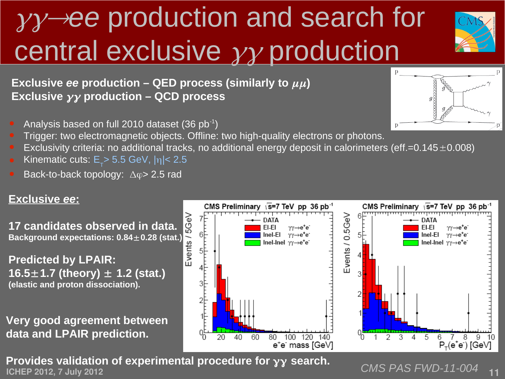# γγ→*ee* production and search for central exclusive γγ production



**Exclusive** *ee* production – QED process (similarly to  $\mu\mu$ ) **Exclusive** γγ **production – QCD process** 

Analysis based on full 2010 dataset (36  $pb^{-1}$ )

- 
- Trigger: two electromagnetic objects. Offline: two high-quality electrons or photons.
- Exclusivity criteria: no additional tracks, no additional energy deposit in calorimeters (eff.=0.145 $\pm$ 0.008)
- Kinematic cuts:  $E_{\gamma}$  > 5.5 GeV,  $|\eta|$  < 2.5
- Back-to-back topology:  $\Delta \varphi$  2.5 rad

### **Exclusive** *ee***:**

**17 candidates observed in data. Background expectations: 0.84**±**0.28 (stat.)**

**Predicted by LPAIR: 16.5**±**1.7 (theory)** ± **1.2 (stat.) (elastic and proton dissociation).**

**Very good agreement between data and LPAIR prediction.**



**ICHEP 2012, 7 July 2012**<br>**ICHEP 2012, 7 July 2012 Provides validation of experimental procedure for**  $γγ$  **search.**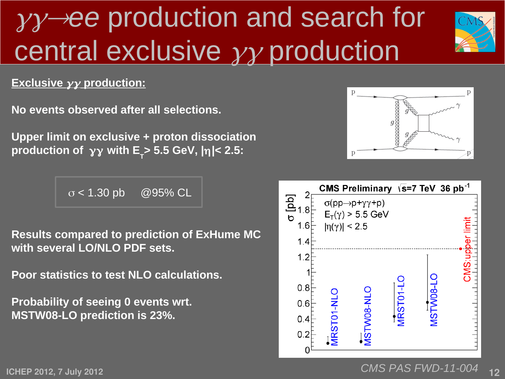## γγ→*ee* production and search for central exclusive  $\gamma\gamma$  production



### **Exclusive** γγ **production:**

**No events observed after all selections.**

**Upper limit on exclusive + proton dissociation production of** γγ **with E T > 5.5 GeV, |**η**|< 2.5:**

 $\sigma$  < 1.30 pb @95% CL

**Results compared to prediction of ExHume MC with several LO/NLO PDF sets.**

**Poor statistics to test NLO calculations.**

**Probability of seeing 0 events wrt. MSTW08-LO prediction is 23%.**